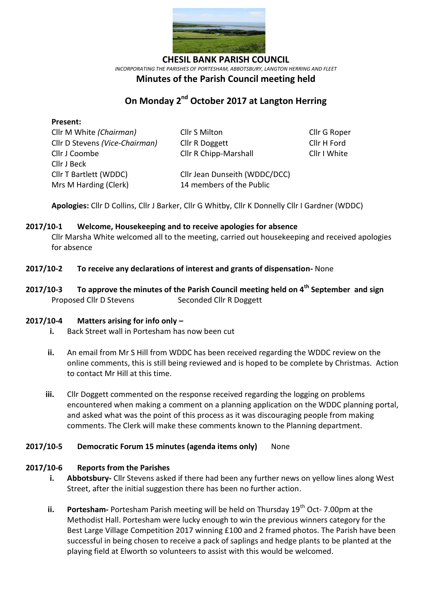

**CHESIL BANK PARISH COUNCIL** *INCORPORATING THE PARISHES OF PORTESHAM, ABBOTSBURY, LANGTON HERRING AND FLEET*

## **Minutes of the Parish Council meeting held**

# **On Monday 2<sup>nd</sup> October 2017 at Langton Herring**

### **Present:**

| Cllr M White (Chairman)        | Cllr S Milton                 | Cllr G Roper |
|--------------------------------|-------------------------------|--------------|
| Cllr D Stevens (Vice-Chairman) | Cllr R Doggett                | Cllr H Ford  |
| Cllr J Coombe                  | <b>Cllr R Chipp-Marshall</b>  | Cllr I White |
| Cllr J Beck                    |                               |              |
| Cllr T Bartlett (WDDC)         | Cllr Jean Dunseith (WDDC/DCC) |              |
| Mrs M Harding (Clerk)          | 14 members of the Public      |              |

**Apologies:** Cllr D Collins, Cllr J Barker, Cllr G Whitby, Cllr K Donnelly Cllr I Gardner (WDDC)

#### **2017/10-1 Welcome, Housekeeping and to receive apologies for absence**

Cllr Marsha White welcomed all to the meeting, carried out housekeeping and received apologies for absence

### **2017/10-2 To receive any declarations of interest and grants of dispensation-** None

**2017/10-3 To approve the minutes of the Parish Council meeting held on 4 th September and sign**  Proposed Cllr D Stevens Seconded Cllr R Doggett

#### **2017/10-4 Matters arising for info only –**

- **i.** Back Street wall in Portesham has now been cut
- **ii.** An email from Mr S Hill from WDDC has been received regarding the WDDC review on the online comments, this is still being reviewed and is hoped to be complete by Christmas. Action to contact Mr Hill at this time.
- **iii.** Cllr Doggett commented on the response received regarding the logging on problems encountered when making a comment on a planning application on the WDDC planning portal, and asked what was the point of this process as it was discouraging people from making comments. The Clerk will make these comments known to the Planning department.

#### **2017/10-5 Democratic Forum 15 minutes (agenda items only)** None

#### **2017/10-6 Reports from the Parishes**

- **i. Abbotsbury-** Cllr Stevens asked if there had been any further news on yellow lines along West Street, after the initial suggestion there has been no further action.
- **ii. Portesham-** Portesham Parish meeting will be held on Thursday 19<sup>th</sup> Oct- 7.00pm at the Methodist Hall. Portesham were lucky enough to win the previous winners category for the Best Large Village Competition 2017 winning £100 and 2 framed photos. The Parish have been successful in being chosen to receive a pack of saplings and hedge plants to be planted at the playing field at Elworth so volunteers to assist with this would be welcomed.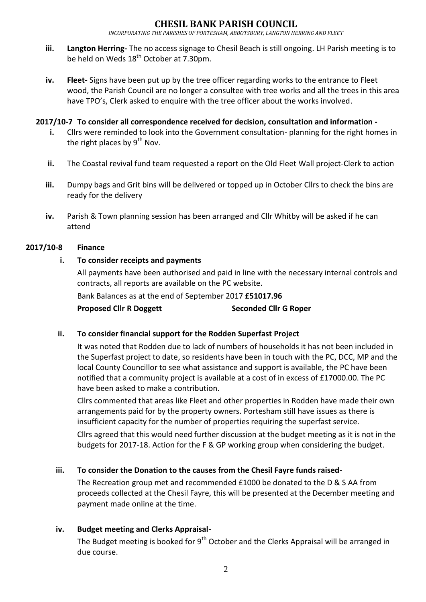*INCORPORATING THE PARISHES OF PORTESHAM, ABBOTSBURY, LANGTON HERRING AND FLEET*

- **iii. Langton Herring-** The no access signage to Chesil Beach is still ongoing. LH Parish meeting is to be held on Weds 18<sup>th</sup> October at 7.30pm.
- **iv. Fleet-** Signs have been put up by the tree officer regarding works to the entrance to Fleet wood, the Parish Council are no longer a consultee with tree works and all the trees in this area have TPO's, Clerk asked to enquire with the tree officer about the works involved.

### **2017/10-7 To consider all correspondence received for decision, consultation and information -**

- **i.** Cllrs were reminded to look into the Government consultation- planning for the right homes in the right places by  $9^{th}$  Nov.
- **ii.** The Coastal revival fund team requested a report on the Old Fleet Wall project-Clerk to action
- **iii.** Dumpy bags and Grit bins will be delivered or topped up in October Cllrs to check the bins are ready for the delivery
- **iv.** Parish & Town planning session has been arranged and Cllr Whitby will be asked if he can attend

### **2017/10-8 Finance**

### **i. To consider receipts and payments**

All payments have been authorised and paid in line with the necessary internal controls and contracts, all reports are available on the PC website. Bank Balances as at the end of September 2017 **£51017.96**

**Proposed Cllr R Doggett Seconded Cllr G Roper**

### **ii. To consider financial support for the Rodden Superfast Project**

It was noted that Rodden due to lack of numbers of households it has not been included in the Superfast project to date, so residents have been in touch with the PC, DCC, MP and the local County Councillor to see what assistance and support is available, the PC have been notified that a community project is available at a cost of in excess of £17000.00. The PC have been asked to make a contribution.

Cllrs commented that areas like Fleet and other properties in Rodden have made their own arrangements paid for by the property owners. Portesham still have issues as there is insufficient capacity for the number of properties requiring the superfast service.

Cllrs agreed that this would need further discussion at the budget meeting as it is not in the budgets for 2017-18. Action for the F & GP working group when considering the budget.

### **iii. To consider the Donation to the causes from the Chesil Fayre funds raised-**

The Recreation group met and recommended £1000 be donated to the D & S AA from proceeds collected at the Chesil Fayre, this will be presented at the December meeting and payment made online at the time.

### **iv. Budget meeting and Clerks Appraisal-**

The Budget meeting is booked for  $9<sup>th</sup>$  October and the Clerks Appraisal will be arranged in due course.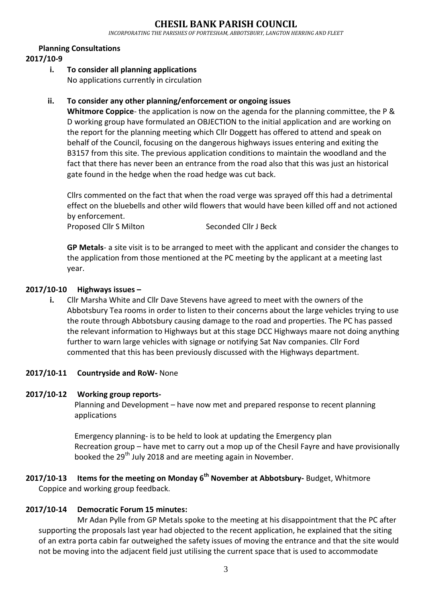# **CHESIL BANK PARISH COUNCIL**

*INCORPORATING THE PARISHES OF PORTESHAM, ABBOTSBURY, LANGTON HERRING AND FLEET*

#### **Planning Consultations**

### **2017/10-9**

**i. To consider all planning applications** No applications currently in circulation

### **ii. To consider any other planning/enforcement or ongoing issues**

**Whitmore Coppice**- the application is now on the agenda for the planning committee, the P & D working group have formulated an OBJECTION to the initial application and are working on the report for the planning meeting which Cllr Doggett has offered to attend and speak on behalf of the Council, focusing on the dangerous highways issues entering and exiting the B3157 from this site. The previous application conditions to maintain the woodland and the fact that there has never been an entrance from the road also that this was just an historical gate found in the hedge when the road hedge was cut back.

Cllrs commented on the fact that when the road verge was sprayed off this had a detrimental effect on the bluebells and other wild flowers that would have been killed off and not actioned by enforcement.

Proposed Cllr S Milton Seconded Cllr J Beck

**GP Metals**- a site visit is to be arranged to meet with the applicant and consider the changes to the application from those mentioned at the PC meeting by the applicant at a meeting last year.

### **2017/10-10 Highways issues –**

**i.** Cllr Marsha White and Cllr Dave Stevens have agreed to meet with the owners of the Abbotsbury Tea rooms in order to listen to their concerns about the large vehicles trying to use the route through Abbotsbury causing damage to the road and properties. The PC has passed the relevant information to Highways but at this stage DCC Highways maare not doing anything further to warn large vehicles with signage or notifying Sat Nav companies. Cllr Ford commented that this has been previously discussed with the Highways department.

#### **2017/10-11 Countryside and RoW-** None

#### **2017/10-12 Working group reports-**

Planning and Development – have now met and prepared response to recent planning applications

Emergency planning- is to be held to look at updating the Emergency plan Recreation group – have met to carry out a mop up of the Chesil Fayre and have provisionally booked the 29<sup>th</sup> July 2018 and are meeting again in November.

### **2017/10-13 Items for the meeting on Monday 6 th November at Abbotsbury-** Budget, Whitmore Coppice and working group feedback.

### **2017/10-14 Democratic Forum 15 minutes:**

Mr Adan Pylle from GP Metals spoke to the meeting at his disappointment that the PC after supporting the proposals last year had objected to the recent application, he explained that the siting of an extra porta cabin far outweighed the safety issues of moving the entrance and that the site would not be moving into the adjacent field just utilising the current space that is used to accommodate